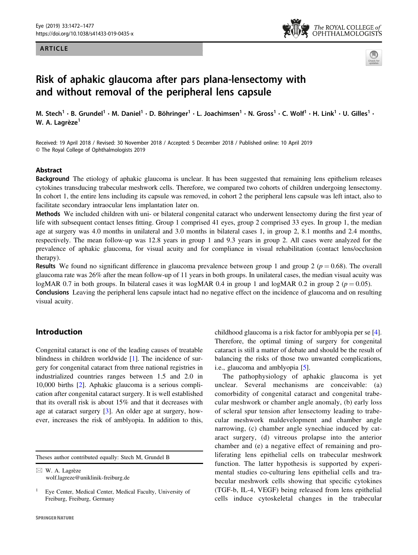## ARTICLE





# Risk of aphakic glaucoma after pars plana-lensectomy with and without removal of the peripheral lens capsule

M. Stech<sup>1</sup> • B. Grundel<sup>1</sup> • M. Daniel<sup>1</sup> • D. Böhringer<sup>1</sup> • L. Joachimsen<sup>1</sup> • N. Gross<sup>1</sup> • C. Wolf<sup>1</sup> • H. Link<sup>1</sup> • U. Gilles<sup>1</sup> • W. A. Lagrèze<sup>1</sup>

Received: 19 April 2018 / Revised: 30 November 2018 / Accepted: 5 December 2018 / Published online: 10 April 2019 © The Royal College of Ophthalmologists 2019

## Abstract

Background The etiology of aphakic glaucoma is unclear. It has been suggested that remaining lens epithelium releases cytokines transducing trabecular meshwork cells. Therefore, we compared two cohorts of children undergoing lensectomy. In cohort 1, the entire lens including its capsule was removed, in cohort 2 the peripheral lens capsule was left intact, also to facilitate secondary intraocular lens implantation later on.

Methods We included children with uni- or bilateral congenital cataract who underwent lensectomy during the first year of life with subsequent contact lenses fitting. Group 1 comprised 41 eyes, group 2 comprised 33 eyes. In group 1, the median age at surgery was 4.0 months in unilateral and 3.0 months in bilateral cases 1, in group 2, 8.1 months and 2.4 months, respectively. The mean follow-up was 12.8 years in group 1 and 9.3 years in group 2. All cases were analyzed for the prevalence of aphakic glaucoma, for visual acuity and for compliance in visual rehabilitation (contact lens/occlusion therapy).

**Results** We found no significant difference in glaucoma prevalence between group 1 and group 2 ( $p = 0.68$ ). The overall glaucoma rate was 26% after the mean follow-up of 11 years in both groups. In unilateral cases, the median visual acuity was logMAR 0.7 in both groups. In bilateral cases it was logMAR 0.4 in group 1 and logMAR 0.2 in group 2 ( $p = 0.05$ ). Conclusions Leaving the peripheral lens capsule intact had no negative effect on the incidence of glaucoma and on resulting visual acuity.

## Introduction

Congenital cataract is one of the leading causes of treatable blindness in children worldwide [[1\]](#page-5-0). The incidence of surgery for congenital cataract from three national registries in industrialized countries ranges between 1.5 and 2.0 in 10,000 births [\[2](#page-5-0)]. Aphakic glaucoma is a serious complication after congenital cataract surgery. It is well established that its overall risk is about 15% and that it decreases with age at cataract surgery [\[3](#page-5-0)]. An older age at surgery, however, increases the risk of amblyopia. In addition to this,

Theses author contributed equally: Stech M, Grundel B

 $\boxtimes$  W. A. Lagrèze [wolf.lagreze@uniklinik-freiburg.de](mailto:wolf.lagreze@uniklinik-freiburg.de) childhood glaucoma is a risk factor for amblyopia per se [[4\]](#page-5-0). Therefore, the optimal timing of surgery for congenital cataract is still a matter of debate and should be the result of balancing the risks of those two unwanted complications, i.e., glaucoma and amblyopia [[5\]](#page-5-0).

The pathophysiology of aphakic glaucoma is yet unclear. Several mechanisms are conceivable: (a) comorbidity of congenital cataract and congenital trabecular meshwork or chamber angle anomaly, (b) early loss of scleral spur tension after lensectomy leading to trabecular meshwork maldevelopment and chamber angle narrowing, (c) chamber angle synechiae induced by cataract surgery, (d) vitreous prolapse into the anterior chamber and (e) a negative effect of remaining and proliferating lens epithelial cells on trabecular meshwork function. The latter hypothesis is supported by experimental studies co-culturing lens epithelial cells and trabecular meshwork cells showing that specific cytokines (TGF-b, IL-4, VEGF) being released from lens epithelial cells induce cytoskeletal changes in the trabecular

<sup>1</sup> Eye Center, Medical Center, Medical Faculty, University of Freiburg, Freiburg, Germany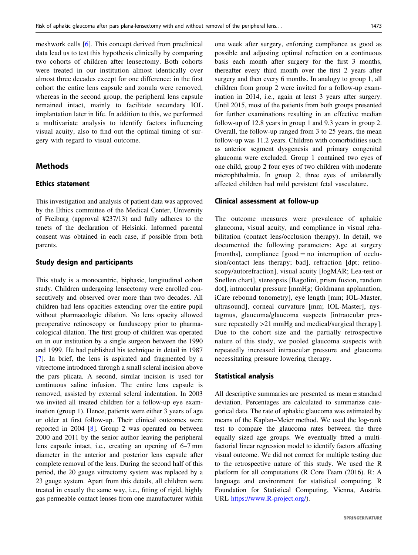meshwork cells [[6](#page-5-0)]. This concept derived from preclinical data lead us to test this hypothesis clinically by comparing two cohorts of children after lensectomy. Both cohorts were treated in our institution almost identically over almost three decades except for one difference: in the first cohort the entire lens capsule and zonula were removed, whereas in the second group, the peripheral lens capsule remained intact, mainly to facilitate secondary IOL implantation later in life. In addition to this, we performed a multivariate analysis to identify factors influencing visual acuity, also to find out the optimal timing of surgery with regard to visual outcome.

# **Methods**

## Ethics statement

This investigation and analysis of patient data was approved by the Ethics committee of the Medical Center, University of Freiburg (approval #237/13) and fully adheres to the tenets of the declaration of Helsinki. Informed parental consent was obtained in each case, if possible from both parents.

## Study design and participants

This study is a monocentric, biphasic, longitudinal cohort study. Children undergoing lensectomy were enrolled consecutively and observed over more than two decades. All children had lens opacities extending over the entire pupil without pharmacologic dilation. No lens opacity allowed preoperative retinoscopy or funduscopy prior to pharmacological dilation. The first group of children was operated on in our institution by a single surgeon between the 1990 and 1999. He had published his technique in detail in 1987 [\[7](#page-5-0)]. In brief, the lens is aspirated and fragmented by a vitrectome introduced through a small scleral incision above the pars plicata. A second, similar incision is used for continuous saline infusion. The entire lens capsule is removed, assisted by external scleral indentation. In 2003 we invited all treated children for a follow-up eye examination (group 1). Hence, patients were either 3 years of age or older at first follow-up. Their clinical outcomes were reported in 2004 [\[8](#page-5-0)]. Group 2 was operated on between 2000 and 2011 by the senior author leaving the peripheral lens capsule intact, i.e., creating an opening of 6–7 mm diameter in the anterior and posterior lens capsule after complete removal of the lens. During the second half of this period, the 20 gauge vitrectomy system was replaced by a 23 gauge system. Apart from this details, all children were treated in exactly the same way, i.e., fitting of rigid, highly gas permeable contact lenses from one manufacturer within one week after surgery, enforcing compliance as good as possible and adjusting optimal refraction on a continuous basis each month after surgery for the first 3 months, thereafter every third month over the first 2 years after surgery and then every 6 months. In analogy to group 1, all children from group 2 were invited for a follow-up examination in 2014, i.e., again at least 3 years after surgery. Until 2015, most of the patients from both groups presented for further examinations resulting in an effective median follow-up of 12.8 years in group 1 and 9.3 years in group 2. Overall, the follow-up ranged from 3 to 25 years, the mean follow-up was 11.2 years. Children with comorbidities such as anterior segment dysgenesis and primary congenital glaucoma were excluded. Group 1 contained two eyes of one child, group 2 four eyes of two children with moderate microphthalmia. In group 2, three eyes of unilaterally affected children had mild persistent fetal vasculature.

#### Clinical assessment at follow-up

The outcome measures were prevalence of aphakic glaucoma, visual acuity, and compliance in visual rehabilitation (contact lens/occlusion therapy). In detail, we documented the following parameters: Age at surgery [months], compliance  $[good = no$  interruption of occlusion/contact lens therapy; bad], refraction [dpt; retinoscopy/autorefraction], visual acuity [logMAR; Lea-test or Snellen chart], stereopsis [Bagolini, prism fusion, random dot], intraocular pressure [mmHg; Goldmann applanation, iCare rebound tonometry], eye length [mm; IOL-Master, ultrasound], corneal curvature [mm; IOL-Master], nystagmus, glaucoma/glaucoma suspects [intraocular pressure repeatedly  $>21$  mmHg and medical/surgical therapy]. Due to the cohort size and the partially retrospective nature of this study, we pooled glaucoma suspects with repeatedly increased intraocular pressure and glaucoma necessitating pressure lowering therapy.

#### Statistical analysis

All descriptive summaries are presented as mean ± standard deviation. Percentages are calculated to summarize categorical data. The rate of aphakic glaucoma was estimated by means of the Kaplan–Meier method. We used the log-rank test to compare the glaucoma rates between the three equally sized age groups. We eventually fitted a multifactorial linear regression model to identify factors affecting visual outcome. We did not correct for multiple testing due to the retrospective nature of this study. We used the R platform for all computations (R Core Team (2016). R: A language and environment for statistical computing. R Foundation for Statistical Computing, Vienna, Austria. URL <https://www.R-project.org/>).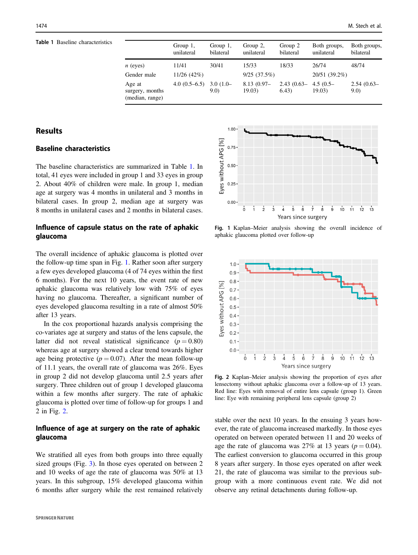Table 1 Baseline characteristics

|                                              | Group $1$ ,<br>unilateral | Group $1$ ,<br>bilateral | Group 2,<br>unilateral  | Group 2<br>bilateral   | Both groups,<br>unilateral | Both groups,<br>bilateral |
|----------------------------------------------|---------------------------|--------------------------|-------------------------|------------------------|----------------------------|---------------------------|
| $n$ (eyes)                                   | 11/41                     | 30/41                    | 15/33                   | 18/33                  | 26/74                      | 48/74                     |
| Gender male                                  | 11/26(42%)                |                          | 9/25(37.5%)             |                        | 20/51 (39.2%)              |                           |
| Age at<br>surgery, months<br>(median, range) | $4.0(0.5-6.5)$            | $3.0(1.0-$<br>9.0        | $8.13(0.97 -$<br>19.03) | $2.43(0.63-$<br>(6.43) | $4.5(0.5 -$<br>19.03)      | $2.54(0.63-$<br>9.0       |

# Results

# Baseline characteristics

The baseline characteristics are summarized in Table 1. In total, 41 eyes were included in group 1 and 33 eyes in group 2. About 40% of children were male. In group 1, median age at surgery was 4 months in unilateral and 3 months in bilateral cases. In group 2, median age at surgery was 8 months in unilateral cases and 2 months in bilateral cases.

# Influence of capsule status on the rate of aphakic glaucoma

The overall incidence of aphakic glaucoma is plotted over the follow-up time span in Fig. 1. Rather soon after surgery a few eyes developed glaucoma (4 of 74 eyes within the first 6 months). For the next 10 years, the event rate of new aphakic glaucoma was relatively low with 75% of eyes having no glaucoma. Thereafter, a significant number of eyes developed glaucoma resulting in a rate of almost 50% after 13 years.

In the cox proportional hazards analysis comprising the co-variates age at surgery and status of the lens capsule, the latter did not reveal statistical significance  $(p = 0.80)$ whereas age at surgery showed a clear trend towards higher age being protective ( $p = 0.07$ ). After the mean follow-up of 11.1 years, the overall rate of glaucoma was 26%. Eyes in group 2 did not develop glaucoma until 2.5 years after surgery. Three children out of group 1 developed glaucoma within a few months after surgery. The rate of aphakic glaucoma is plotted over time of follow-up for groups 1 and 2 in Fig. 2.

## Influence of age at surgery on the rate of aphakic glaucoma

We stratified all eyes from both groups into three equally sized groups (Fig. [3](#page-3-0)). In those eyes operated on between 2 and 10 weeks of age the rate of glaucoma was 50% at 13 years. In this subgroup, 15% developed glaucoma within 6 months after surgery while the rest remained relatively



Fig. 1 Kaplan–Meier analysis showing the overall incidence of aphakic glaucoma plotted over follow-up



Fig. 2 Kaplan–Meier analysis showing the proportion of eyes after lensectomy without aphakic glaucoma over a follow-up of 13 years. Red line: Eyes with removal of entire lens capsule (group 1). Green line: Eye with remaining peripheral lens capsule (group 2)

stable over the next 10 years. In the ensuing 3 years however, the rate of glaucoma increased markedly. In those eyes operated on between operated between 11 and 20 weeks of age the rate of glaucoma was 27% at 13 years ( $p = 0.04$ ). The earliest conversion to glaucoma occurred in this group 8 years after surgery. In those eyes operated on after week 21, the rate of glaucoma was similar to the previous subgroup with a more continuous event rate. We did not observe any retinal detachments during follow-up.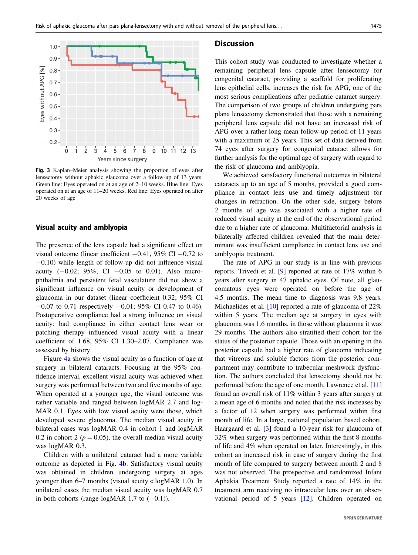<span id="page-3-0"></span>

Fig. 3 Kaplan–Meier analysis showing the proportion of eyes after lensectomy without aphakic glaucoma over a follow-up of 13 years. Green line: Eyes operated on at an age of 2–10 weeks. Blue line: Eyes operated on at an age of 11–20 weeks. Red line: Eyes operated on after 20 weeks of age

#### Visual acuity and amblyopia

The presence of the lens capsule had a significant effect on visual outcome (linear coefficient  $-0.41$ , 95% CI  $-0.72$  to −0.10) while length of follow-up did not influence visual acuity  $(-0.02; 95\%, \text{CI} -0.05 \text{ to } 0.01)$ . Also microphthalmia and persistent fetal vasculature did not show a significant influence on visual acuity or development of glaucoma in our dataset (linear coefficient 0.32; 95% CI −0.07 to 0.71 respectively −0.01; 95% CI 0.47 to 0.46). Postoperative compliance had a strong influence on visual acuity: bad compliance in either contact lens wear or patching therapy influenced visual acuity with a linear coefficient of 1.68, 95% CI 1.30–2.07. Compliance was assessed by history.

Figure [4](#page-4-0)a shows the visual acuity as a function of age at surgery in bilateral cataracts. Focusing at the 95% confidence interval, excellent visual acuity was achieved when surgery was performed between two and five months of age. When operated at a younger age, the visual outcome was rather variable and ranged between logMAR 2.7 and log-MAR 0.1. Eyes with low visual acuity were those, which developed severe glaucoma. The median visual acuity in bilateral cases was logMAR 0.4 in cohort 1 and logMAR 0.2 in cohort 2 ( $p = 0.05$ ), the overall median visual acuity was logMAR 0.3.

Children with a unilateral cataract had a more variable outcome as depicted in Fig. [4](#page-4-0)b. Satisfactory visual acuity was obtained in children undergoing surgery at ages younger than 6–7 months (visual acuity < logMAR 1.0). In unilateral cases the median visual acuity was logMAR 0.7 in both cohorts (range logMAR 1.7 to  $(-0.1)$ ).

## **Discussion**

This cohort study was conducted to investigate whether a remaining peripheral lens capsule after lensectomy for congenital cataract, providing a scaffold for proliferating lens epithelial cells, increases the risk for APG, one of the most serious complications after pediatric cataract surgery. The comparison of two groups of children undergoing pars plana lensectomy demonstrated that those with a remaining peripheral lens capsule did not have an increased risk of APG over a rather long mean follow-up period of 11 years with a maximum of 25 years. This set of data derived from 74 eyes after surgery for congenital cataract allows for further analysis for the optimal age of surgery with regard to the risk of glaucoma and amblyopia.

We achieved satisfactory functional outcomes in bilateral cataracts up to an age of 5 months, provided a good compliance in contact lens use and timely adjustment for changes in refraction. On the other side, surgery before 2 months of age was associated with a higher rate of reduced visual acuity at the end of the observational period due to a higher rate of glaucoma. Multifactorial analysis in bilaterally affected children revealed that the main determinant was insufficient compliance in contact lens use and amblyopia treatment.

The rate of APG in our study is in line with previous reports. Trivedi et al. [\[9](#page-5-0)] reported at rate of 17% within 6 years after surgery in 47 aphakic eyes. Of note, all glaucomatous eyes were operated on before the age of 4.5 months. The mean time to diagnosis was 9.8 years. Michaelides et al. [[10\]](#page-5-0) reported a rate of glaucoma of 22% within 5 years. The median age at surgery in eyes with glaucoma was 1.6 months, in those without glaucoma it was 29 months. The authors also stratified their cohort for the status of the posterior capsule. Those with an opening in the posterior capsule had a higher rate of glaucoma indicating that vitreous and soluble factors from the posterior compartment may contribute to trabecular meshwork dysfunction. The authors concluded that lensectomy should not be performed before the age of one month. Lawrence et al. [\[11](#page-5-0)] found an overall risk of 11% within 3 years after surgery at a mean age of 6 months and noted that the risk increases by a factor of 12 when surgery was performed within first month of life. In a large, national population based cohort, Haargaard et al. [[3\]](#page-5-0) found a 10-year risk for glaucoma of 32% when surgery was performed within the first 8 months of life and 4% when operated on later. Interestingly, in this cohort an increased risk in case of surgery during the first month of life compared to surgery between month 2 and 8 was not observed. The prospective and randomized Infant Aphakia Treatment Study reported a rate of 14% in the treatment arm receiving no intraocular lens over an observational period of 5 years [\[12](#page-5-0)]. Children operated on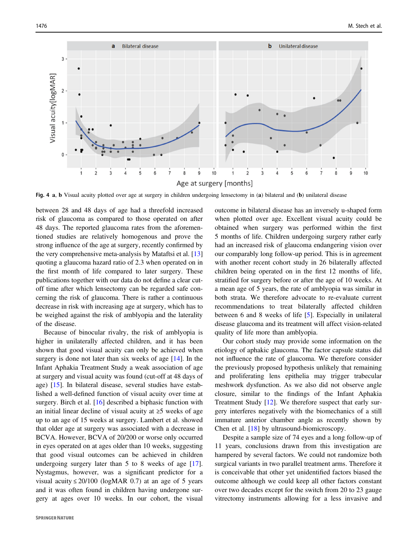<span id="page-4-0"></span>

Fig. 4 a, b Visual acuity plotted over age at surgery in children undergoing lensectomy in (a) bilateral and (b) unilateral disease

between 28 and 48 days of age had a threefold increased risk of glaucoma as compared to those operated on after 48 days. The reported glaucoma rates from the aforementioned studies are relatively homogenous and prove the strong influence of the age at surgery, recently confirmed by the very comprehensive meta-analysis by Mataftsi et al. [[13\]](#page-5-0) quoting a glaucoma hazard ratio of 2.3 when operated on in the first month of life compared to later surgery. These publications together with our data do not define a clear cutoff time after which lensectomy can be regarded safe concerning the risk of glaucoma. There is rather a continuous decrease in risk with increasing age at surgery, which has to be weighed against the risk of amblyopia and the laterality of the disease.

Because of binocular rivalry, the risk of amblyopia is higher in unilaterally affected children, and it has been shown that good visual acuity can only be achieved when surgery is done not later than six weeks of age [[14\]](#page-5-0). In the Infant Aphakia Treatment Study a weak association of age at surgery and visual acuity was found (cut-off at 48 days of age) [\[15](#page-5-0)]. In bilateral disease, several studies have established a well-defined function of visual acuity over time at surgery. Birch et al. [\[16](#page-5-0)] described a biphasic function with an initial linear decline of visual acuity at ≥5 weeks of age up to an age of 15 weeks at surgery. Lambert et al. showed that older age at surgery was associated with a decrease in BCVA. However, BCVA of 20/200 or worse only occurred in eyes operated on at ages older than 10 weeks, suggesting that good visual outcomes can be achieved in children undergoing surgery later than 5 to 8 weeks of age [\[17](#page-5-0)]. Nystagmus, however, was a significant predictor for a visual acuity  $\leq 20/100$  (logMAR 0.7) at an age of 5 years and it was often found in children having undergone surgery at ages over 10 weeks. In our cohort, the visual outcome in bilateral disease has an inversely u-shaped form when plotted over age. Excellent visual acuity could be obtained when surgery was performed within the first 5 months of life. Children undergoing surgery rather early had an increased risk of glaucoma endangering vision over our comparably long follow-up period. This is in agreement with another recent cohort study in 26 bilaterally affected children being operated on in the first 12 months of life, stratified for surgery before or after the age of 10 weeks. At a mean age of 5 years, the rate of amblyopia was similar in both strata. We therefore advocate to re-evaluate current recommendations to treat bilaterally affected children between 6 and 8 weeks of life [\[5](#page-5-0)]. Especially in unilateral disease glaucoma and its treatment will affect vision-related quality of life more than amblyopia.

Our cohort study may provide some information on the etiology of aphakic glaucoma. The factor capsule status did not influence the rate of glaucoma. We therefore consider the previously proposed hypothesis unlikely that remaining and proliferating lens epithelia may trigger trabecular meshwork dysfunction. As we also did not observe angle closure, similar to the findings of the Infant Aphakia Treatment Study [[12\]](#page-5-0). We therefore suspect that early surgery interferes negatively with the biomechanics of a still immature anterior chamber angle as recently shown by Chen et al. [[18\]](#page-5-0) by ultrasound-biomicroscopy.

Despite a sample size of 74 eyes and a long follow-up of 11 years, conclusions drawn from this investigation are hampered by several factors. We could not randomize both surgical variants in two parallel treatment arms. Therefore it is conceivable that other yet unidentified factors biased the outcome although we could keep all other factors constant over two decades except for the switch from 20 to 23 gauge vitrectomy instruments allowing for a less invasive and